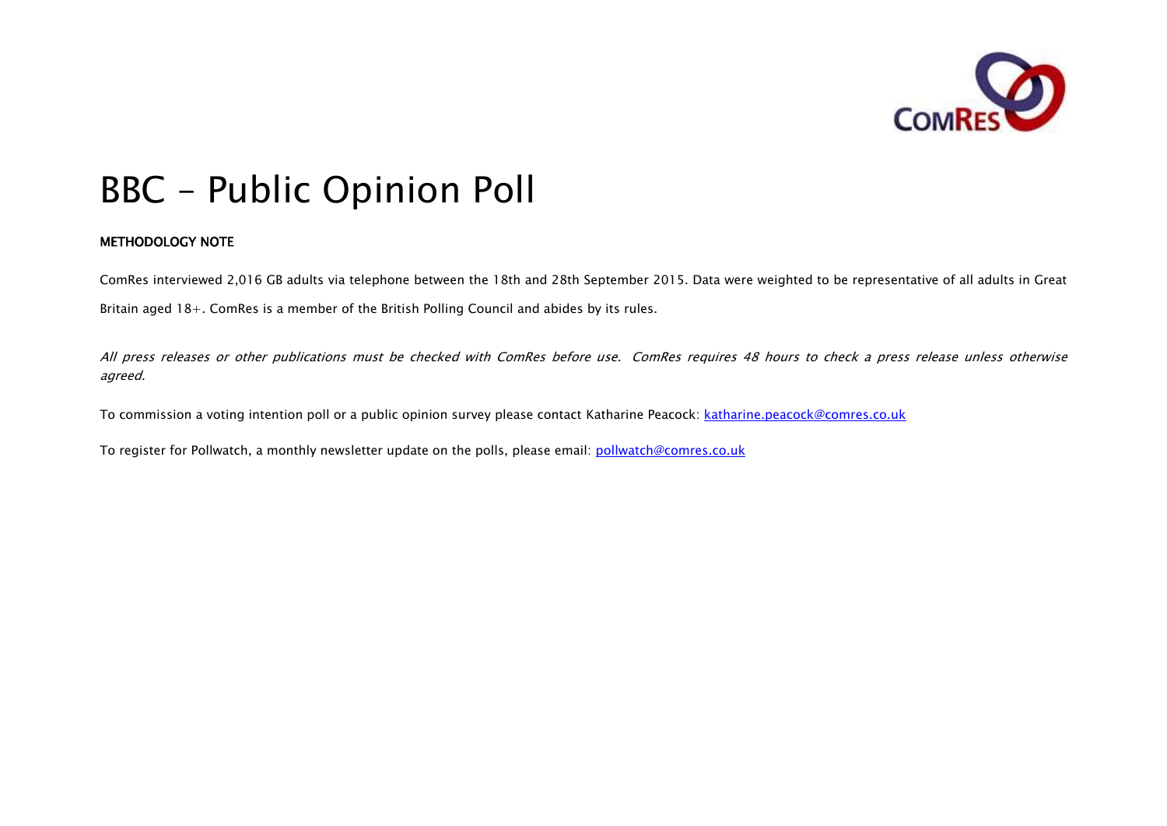

# BBC – Public Opinion Poll

# METHODOLOGY NOTE

ComRes interviewed 2,016 GB adults via telephone between the 18th and 28th September 2015. Data were weighted to be representative of all adults in Great Britain aged 18+. ComRes is a member of the British Polling Council and abides by its rules.

All press releases or other publications must be checked with ComRes before use. ComRes requires 48 hours to check a press release unless otherwise agreed.

To commission a voting intention poll or a public opinion survey please contact Katharine Peacock: katharine.peacock@comres.co.uk

To register for Pollwatch, a monthly newsletter update on the polls, please email: pollwatch@comres.co.uk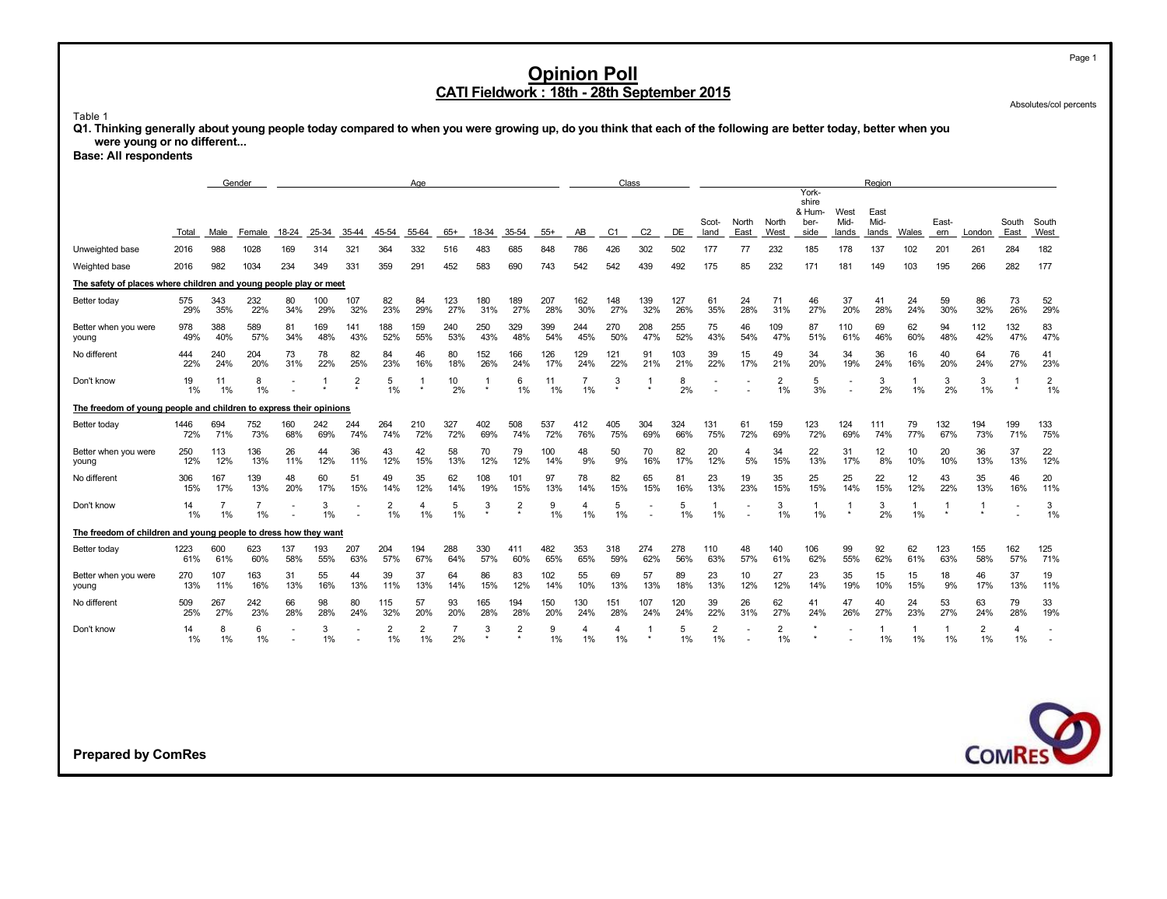Absolutes/col percents

Page 1

Table 1

**Q1. Thinking generally about young people today compared to when you were growing up, do you think that each of the following are better today, better when you were young or no different...**

**Base: All respondents**

|                                                                    | Gender<br>Age |                      |                      |              |              |                |                      |                      |                      |               |                           |              |                      |                       | Class                 |            |                      |                      |                      |                                  |                         | Region       |                    |            |                      |             |                      |
|--------------------------------------------------------------------|---------------|----------------------|----------------------|--------------|--------------|----------------|----------------------|----------------------|----------------------|---------------|---------------------------|--------------|----------------------|-----------------------|-----------------------|------------|----------------------|----------------------|----------------------|----------------------------------|-------------------------|--------------|--------------------|------------|----------------------|-------------|----------------------|
|                                                                    |               |                      |                      |              |              |                |                      |                      |                      |               |                           |              |                      |                       |                       |            | Scot-                | North                | North                | York-<br>shire<br>& Hum-<br>ber- | West<br>Mid-            | East<br>Mid- |                    | East-      |                      | South       | South                |
| Unweighted base                                                    | Total<br>2016 | Male<br>988          | Female<br>1028       | 18-24<br>169 | 25-34<br>314 | 35-44<br>321   | 45-54<br>364         | 55-64<br>332         | $65+$<br>516         | 18-34<br>483  | 35-54<br>685              | $55+$<br>848 | AB<br>786            | C <sub>1</sub><br>426 | C <sub>2</sub><br>302 | DE<br>502  | land<br>177          | East<br>77           | West<br>232          | side<br>185                      | lands<br>178            | lands<br>137 | Wales<br>102       | ern<br>201 | London<br>261        | East<br>284 | West<br>182          |
| Weighted base                                                      | 2016          | 982                  | 1034                 | 234          | 349          | 331            | 359                  | 291                  | 452                  | 583           | 690                       | 743          | 542                  | 542                   | 439                   | 492        | 175                  | 85                   | 232                  | 171                              | 181                     | 149          | 103                | 195        | 266                  | 282         | 177                  |
| The safety of places where children and young people play or meet  |               |                      |                      |              |              |                |                      |                      |                      |               |                           |              |                      |                       |                       |            |                      |                      |                      |                                  |                         |              |                    |            |                      |             |                      |
| Better today                                                       | 575<br>29%    | 343<br>35%           | 232<br>22%           | 80<br>34%    | 100<br>29%   | 107<br>32%     | 82<br>23%            | 84<br>29%            | 123<br>27%           | 180<br>31%    | 189<br>27%                | 207<br>28%   | 162<br>30%           | 148<br>27%            | 139<br>32%            | 127<br>26% | 61<br>35%            | 24<br>28%            | 71<br>31%            | 46<br>27%                        | 37<br>20%               | 41<br>28%    | 24<br>24%          | 59<br>30%  | 86<br>32%            | 73<br>26%   | 52<br>29%            |
| Better when you were<br>young                                      | 978<br>49%    | 388<br>40%           | 589<br>57%           | 81<br>34%    | 169<br>48%   | 141<br>43%     | 188<br>52%           | 159<br>55%           | 240<br>53%           | 250<br>43%    | 329<br>48%                | 399<br>54%   | 244<br>45%           | 270<br>50%            | 208<br>47%            | 255<br>52% | 75<br>43%            | 46<br>54%            | 109<br>47%           | 87<br>51%                        | 110<br>61%              | 69<br>46%    | 62<br>60%          | 94<br>48%  | 112<br>42%           | 132<br>47%  | 83<br>47%            |
| No different                                                       | 444<br>22%    | 240<br>24%           | 204<br>20%           | 73<br>31%    | 78<br>22%    | 82<br>25%      | 84<br>23%            | 46<br>16%            | 80<br>18%            | 152<br>26%    | 166<br>24%                | 126<br>17%   | 129<br>24%           | 121<br>22%            | 91<br>21%             | 103<br>21% | 39<br>22%            | 15<br>17%            | 49<br>21%            | 34<br>20%                        | 34<br>19%               | 36<br>24%    | 16<br>16%          | 40<br>20%  | 64<br>24%            | 76<br>27%   | 41<br>23%            |
| Don't know                                                         | 19<br>1%      | 11<br>1%             | 8<br>1%              |              |              | $\overline{2}$ | 5<br>1%              | -1<br>$\star$        | 10<br>2%             | -1<br>$\star$ | 6<br>$1\%$                | 11<br>1%     | 1%                   | 3                     |                       | 8<br>2%    |                      |                      | $\overline{2}$<br>1% | 5<br>3%                          |                         | 3<br>2%      | 1<br>1%            | 3<br>2%    | 3<br>1%              | -1          | $\overline{2}$<br>1% |
| The freedom of young people and children to express their opinions |               |                      |                      |              |              |                |                      |                      |                      |               |                           |              |                      |                       |                       |            |                      |                      |                      |                                  |                         |              |                    |            |                      |             |                      |
| Better today                                                       | 1446<br>72%   | 694<br>71%           | 752<br>73%           | 160<br>68%   | 242<br>69%   | 244<br>74%     | 264<br>74%           | 210<br>72%           | 327<br>72%           | 402<br>69%    | 508<br>74%                | 537<br>72%   | 412<br>76%           | 405<br>75%            | 304<br>69%            | 324<br>66% | 131<br>75%           | 61<br>72%            | 159<br>69%           | 123<br>72%                       | 124<br>69%              | 111<br>74%   | 79<br>77%          | 132<br>67% | 194<br>73%           | 199<br>71%  | 133<br>75%           |
| Better when you were<br>young                                      | 250<br>12%    | 113<br>12%           | 136<br>13%           | 26<br>11%    | 44<br>12%    | 36<br>11%      | 43<br>12%            | 42<br>15%            | 58<br>13%            | 70<br>12%     | 79<br>12%                 | 100<br>14%   | 48<br>9%             | 50<br>9%              | 70<br>16%             | 82<br>17%  | 20<br>12%            | $\overline{4}$<br>5% | 34<br>15%            | 22<br>13%                        | 31<br>17%               | 12<br>8%     | 10<br>10%          | 20<br>10%  | 36<br>13%            | 37<br>13%   | 22<br>12%            |
| No different                                                       | 306<br>15%    | 167<br>17%           | 139<br>13%           | 48<br>20%    | 60<br>17%    | 51<br>15%      | 49<br>14%            | 35<br>12%            | 62<br>14%            | 108<br>19%    | 101<br>15%                | 97<br>13%    | 78<br>14%            | 82<br>15%             | 65<br>15%             | 81<br>16%  | 23<br>13%            | 19<br>23%            | 35<br>15%            | 25<br>15%                        | 25<br>14%               | 22<br>15%    | 12<br>12%          | 43<br>22%  | 35<br>13%            | 46<br>16%   | 20<br>11%            |
| Don't know                                                         | 14<br>1%      | $\overline{7}$<br>1% | $\overline{7}$<br>1% |              | 3<br>1%      |                | $\overline{2}$<br>1% | 4<br>1%              | 5<br>1%              | 3<br>$^\star$ | $\overline{2}$<br>$\star$ | 9<br>1%      | $\overline{4}$<br>1% | 5<br>1%               |                       | 5<br>1%    | -1<br>1%             |                      | 3<br>1%              | 1<br>1%                          | $\mathbf{1}$<br>$\star$ | 3<br>2%      | 1<br>1%            | $\star$    | -1<br>$\star$        |             | 3<br>1%              |
| The freedom of children and young people to dress how they want    |               |                      |                      |              |              |                |                      |                      |                      |               |                           |              |                      |                       |                       |            |                      |                      |                      |                                  |                         |              |                    |            |                      |             |                      |
| Better today                                                       | 1223<br>61%   | 600<br>61%           | 623<br>60%           | 137<br>58%   | 193<br>55%   | 207<br>63%     | 204<br>57%           | 194<br>67%           | 288<br>64%           | 330<br>57%    | 411<br>60%                | 482<br>65%   | 353<br>65%           | 318<br>59%            | 274<br>62%            | 278<br>56% | 110<br>63%           | 48<br>57%            | 140<br>61%           | 106<br>62%                       | 99<br>55%               | 92<br>62%    | 62<br>61%          | 123<br>63% | 155<br>58%           | 162<br>57%  | 125<br>71%           |
| Better when you were<br>young                                      | 270<br>13%    | 107<br>11%           | 163<br>16%           | 31<br>13%    | 55<br>16%    | 44<br>13%      | 39<br>11%            | 37<br>13%            | 64<br>14%            | 86<br>15%     | 83<br>12%                 | 102<br>14%   | 55<br>10%            | 69<br>13%             | 57<br>13%             | 89<br>18%  | 23<br>13%            | 10<br>12%            | 27<br>12%            | 23<br>14%                        | 35<br>19%               | 15<br>10%    | 15<br>15%          | 18<br>9%   | 46<br>17%            | 37<br>13%   | 19<br>11%            |
| No different                                                       | 509<br>25%    | 267<br>27%           | 242<br>23%           | 66<br>28%    | 98<br>28%    | 80<br>24%      | 115<br>32%           | 57<br>20%            | 93<br>20%            | 165<br>28%    | 194<br>28%                | 150<br>20%   | 130<br>24%           | 151<br>28%            | 107<br>24%            | 120<br>24% | 39<br>22%            | 26<br>31%            | 62<br>27%            | 41<br>24%                        | 47<br>26%               | 40<br>27%    | 24<br>23%          | 53<br>27%  | 63<br>24%            | 79<br>28%   | 33<br>19%            |
| Don't know                                                         | 14<br>1%      | 8<br>1%              | 6<br>1%              |              | 3<br>1%      |                | $\overline{2}$<br>1% | $\overline{2}$<br>1% | $\overline{7}$<br>2% | 3             | $\overline{2}$            | 9<br>1%      | $\overline{4}$<br>1% | 4<br>1%               | 1<br>$\star$          | 5<br>1%    | $\overline{2}$<br>1% |                      | $\overline{2}$<br>1% |                                  |                         | 1<br>1%      | $\mathbf{1}$<br>1% | 1<br>1%    | $\overline{2}$<br>1% | 4<br>1%     |                      |
| <b>Prepared by ComRes</b>                                          |               |                      |                      |              |              |                |                      |                      |                      |               |                           |              |                      |                       |                       |            |                      |                      |                      |                                  |                         |              |                    |            |                      |             | <b>COMRES</b>        |
|                                                                    |               |                      |                      |              |              |                |                      |                      |                      |               |                           |              |                      |                       |                       |            |                      |                      |                      |                                  |                         |              |                    |            |                      |             |                      |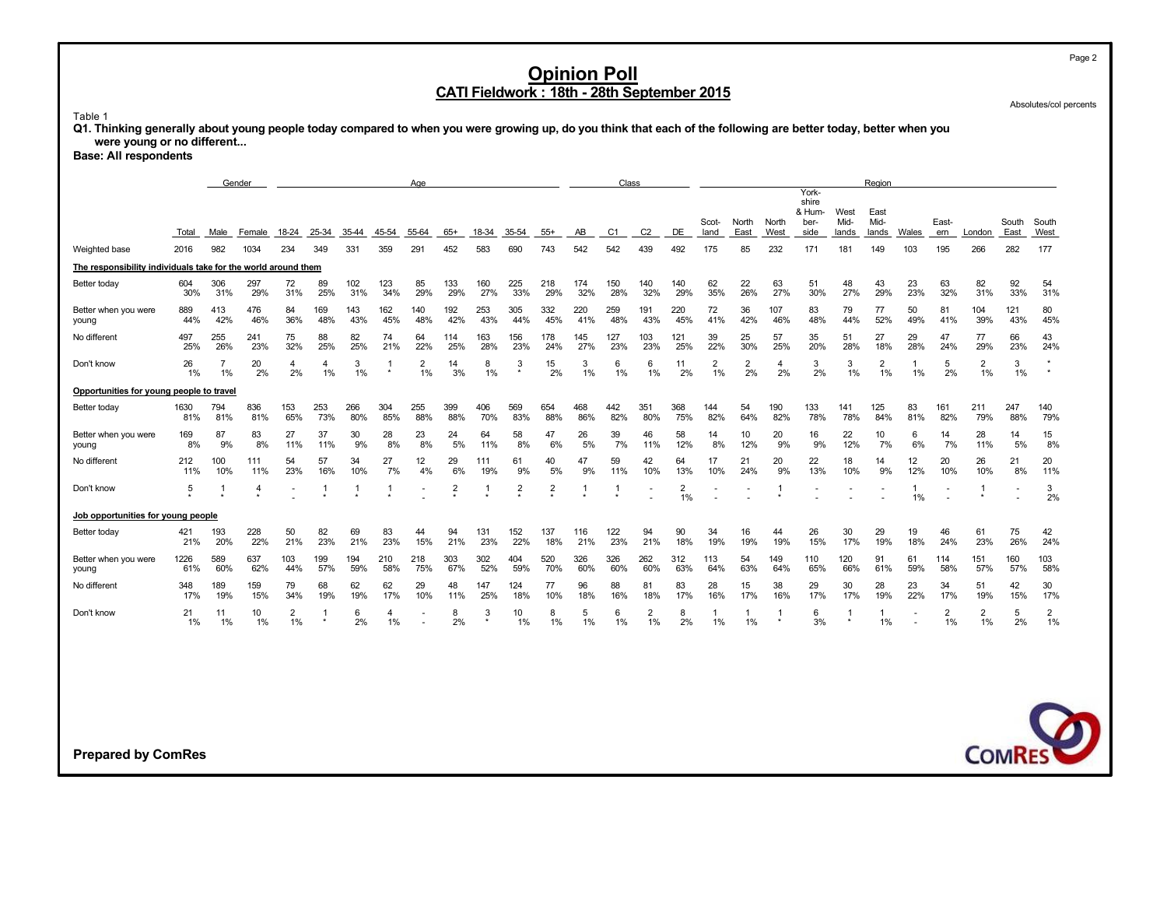Absolutes/col percents

#### Table 1

**Q1. Thinking generally about young people today compared to when you were growing up, do you think that each of the following are better today, better when you were young or no different...**

**Base: All respondents**

|                                                               | Gender<br>Age |                      |                |                      |              |              |              |                      |                         |              |                         |                         |            |                       | Class                 |                               |                      |                               |                      |                                  |              | Region               |                    |            |                      |             |                         |
|---------------------------------------------------------------|---------------|----------------------|----------------|----------------------|--------------|--------------|--------------|----------------------|-------------------------|--------------|-------------------------|-------------------------|------------|-----------------------|-----------------------|-------------------------------|----------------------|-------------------------------|----------------------|----------------------------------|--------------|----------------------|--------------------|------------|----------------------|-------------|-------------------------|
|                                                               |               |                      |                |                      |              |              |              |                      |                         |              |                         |                         |            |                       |                       |                               | Scot-                | North                         | North                | York-<br>shire<br>& Hum-<br>ber- | West<br>Mid- | East<br>Mid-         |                    | East-      |                      | South       | South                   |
| Weighted base                                                 | Total<br>2016 | Male<br>982          | Female<br>1034 | 18-24<br>234         | 25-34<br>349 | 35-44<br>331 | 45-54<br>359 | 55-64<br>291         | $65+$<br>452            | 18-34<br>583 | 35-54<br>690            | $55+$<br>743            | AB<br>542  | C <sub>1</sub><br>542 | C <sub>2</sub><br>439 | DE<br>492                     | land<br>175          | East<br>85                    | West<br>232          | side<br>171                      | lands<br>181 | lands<br>149         | Wales<br>103       | ern<br>195 | London<br>266        | East<br>282 | West<br>177             |
| The responsibility individuals take for the world around them |               |                      |                |                      |              |              |              |                      |                         |              |                         |                         |            |                       |                       |                               |                      |                               |                      |                                  |              |                      |                    |            |                      |             |                         |
| Better today                                                  | 604<br>30%    | 306<br>31%           | 297<br>29%     | 72<br>31%            | 89<br>25%    | 102<br>31%   | 123<br>34%   | 85<br>29%            | 133<br>29%              | 160<br>27%   | 225<br>33%              | 218<br>29%              | 174<br>32% | 150<br>28%            | 140<br>32%            | 140<br>29%                    | 62<br>35%            | 22<br>26%                     | 63<br>27%            | 51<br>30%                        | 48<br>27%    | 43<br>29%            | 23<br>23%          | 63<br>32%  | 82<br>31%            | 92<br>33%   | 54<br>31%               |
| Better when you were<br>young                                 | 889<br>44%    | 413<br>42%           | 476<br>46%     | 84<br>36%            | 169<br>48%   | 143<br>43%   | 162<br>45%   | 140<br>48%           | 192<br>42%              | 253<br>43%   | 305<br>44%              | 332<br>45%              | 220<br>41% | 259<br>48%            | 191<br>43%            | 220<br>45%                    | 72<br>41%            | 36<br>42%                     | 107<br>46%           | 83<br>48%                        | 79<br>44%    | 77<br>52%            | 50<br>49%          | 81<br>41%  | 104<br>39%           | 121<br>43%  | 80<br>45%               |
| No different                                                  | 497<br>25%    | 255<br>26%           | 241<br>23%     | 75<br>32%            | 88<br>25%    | 82<br>25%    | 74<br>21%    | 64<br>22%            | 114<br>25%              | 163<br>28%   | 156<br>23%              | 178<br>24%              | 145<br>27% | 127<br>23%            | 103<br>23%            | 121<br>25%                    | 39<br>22%            | 25<br>30%                     | 57<br>25%            | 35<br>20%                        | 51<br>28%    | 27<br>18%            | 29<br>28%          | 47<br>24%  | 77<br>29%            | 66<br>23%   | 43<br>24%               |
| Don't know                                                    | 26<br>1%      | $\overline{7}$<br>1% | 20<br>2%       | 4<br>2%              | 4<br>1%      | 3<br>1%      | -1           | $\overline{2}$<br>1% | 14<br>3%                | 8<br>1%      | 3<br>$^\star$           | 15<br>2%                | 3<br>$1\%$ | 6<br>1%               | 6<br>1%               | 11<br>2%                      | $\overline{2}$<br>1% | $\overline{\mathbf{c}}$<br>2% | $\overline{4}$<br>2% | 3<br>2%                          | 3<br>1%      | $\overline{2}$<br>1% | $\mathbf{1}$<br>1% | 5<br>2%    | $\overline{2}$<br>1% | 3<br>1%     | $^\star$<br>$\star$     |
| Opportunities for young people to travel                      |               |                      |                |                      |              |              |              |                      |                         |              |                         |                         |            |                       |                       |                               |                      |                               |                      |                                  |              |                      |                    |            |                      |             |                         |
| Better today                                                  | 1630<br>81%   | 794<br>81%           | 836<br>81%     | 153<br>65%           | 253<br>73%   | 266<br>80%   | 304<br>85%   | 255<br>88%           | 399<br>88%              | 406<br>70%   | 569<br>83%              | 654<br>88%              | 468<br>86% | 442<br>82%            | 351<br>80%            | 368<br>75%                    | 144<br>82%           | 54<br>64%                     | 190<br>82%           | 133<br>78%                       | 141<br>78%   | 125<br>84%           | 83<br>81%          | 161<br>82% | 211<br>79%           | 247<br>88%  | 140<br>79%              |
| Better when you were<br>young                                 | 169<br>8%     | 87<br>9%             | 83<br>8%       | 27<br>11%            | 37<br>11%    | 30<br>9%     | 28<br>8%     | 23<br>8%             | 24<br>5%                | 64<br>11%    | 58<br>8%                | 47<br>6%                | 26<br>5%   | 39<br>7%              | 46<br>11%             | 58<br>12%                     | 14<br>8%             | 10<br>12%                     | 20<br>9%             | 16<br>9%                         | 22<br>12%    | 10<br>7%             | 6<br>6%            | 14<br>7%   | 28<br>11%            | 14<br>5%    | 15<br>8%                |
| No different                                                  | 212<br>11%    | 100<br>10%           | 111<br>11%     | 54<br>23%            | 57<br>16%    | 34<br>10%    | 27<br>7%     | 12<br>4%             | 29<br>6%                | 111<br>19%   | 61<br>9%                | 40<br>5%                | 47<br>9%   | 59<br>11%             | 42<br>10%             | 64<br>13%                     | 17<br>10%            | 21<br>24%                     | 20<br>9%             | 22<br>13%                        | 18<br>10%    | 14<br>9%             | 12<br>12%          | 20<br>10%  | 26<br>10%            | 21<br>8%    | 20<br>11%               |
| Don't know                                                    | 5             |                      | 4<br>$\star$   |                      | -1           | -1           | -1           |                      | $\overline{\mathbf{c}}$ |              | $\overline{\mathbf{c}}$ | $\overline{\mathbf{c}}$ |            | -1                    |                       | $\overline{\mathbf{c}}$<br>1% |                      |                               |                      |                                  |              |                      | $\mathbf{1}$<br>1% |            | -1                   |             | 3<br>2%                 |
| Job opportunities for young people                            |               |                      |                |                      |              |              |              |                      |                         |              |                         |                         |            |                       |                       |                               |                      |                               |                      |                                  |              |                      |                    |            |                      |             |                         |
| Better today                                                  | 421<br>21%    | 193<br>20%           | 228<br>22%     | 50<br>21%            | 82<br>23%    | 69<br>21%    | 83<br>23%    | 44<br>15%            | 94<br>21%               | 131<br>23%   | 152<br>22%              | 137<br>18%              | 116<br>21% | 122<br>23%            | 94<br>21%             | 90<br>18%                     | 34<br>19%            | 16<br>19%                     | 44<br>19%            | 26<br>15%                        | 30<br>17%    | 29<br>19%            | 19<br>18%          | 46<br>24%  | 61<br>23%            | 75<br>26%   | 42<br>24%               |
| Better when you were<br>young                                 | 1226<br>61%   | 589<br>60%           | 637<br>62%     | 103<br>44%           | 199<br>57%   | 194<br>59%   | 210<br>58%   | 218<br>75%           | 303<br>67%              | 302<br>52%   | 404<br>59%              | 520<br>70%              | 326<br>60% | 326<br>60%            | 262<br>60%            | 312<br>63%                    | 113<br>64%           | 54<br>63%                     | 149<br>64%           | 110<br>65%                       | 120<br>66%   | 91<br>61%            | 61<br>59%          | 114<br>58% | 151<br>57%           | 160<br>57%  | 103<br>58%              |
| No different                                                  | 348<br>17%    | 189<br>19%           | 159<br>15%     | 79<br>34%            | 68<br>19%    | 62<br>19%    | 62<br>17%    | 29<br>10%            | 48<br>11%               | 147<br>25%   | 124<br>18%              | 77<br>10%               | 96<br>18%  | 88<br>16%             | 81<br>18%             | 83<br>17%                     | 28<br>16%            | 15<br>17%                     | 38<br>16%            | 29<br>17%                        | 30<br>17%    | 28<br>19%            | 23<br>22%          | 34<br>17%  | 51<br>19%            | 42<br>15%   | 30<br>17%               |
| Don't know                                                    | 21<br>$1\%$   | 11<br>1%             | 10<br>1%       | $\overline{2}$<br>1% |              | 6<br>2%      | 4<br>1%      |                      | 8<br>2%                 | 3            | 10<br>1%                | 8<br>$1\%$              | 5<br>1%    | 6<br>1%               | $\overline{2}$<br>1%  | 8<br>2%                       | 1<br>1%              | 1<br>1%                       |                      | 6<br>3%                          |              | 1.<br>1%             |                    | 2<br>1%    | $\overline{2}$<br>1% | 5<br>2%     | $\overline{2}$<br>$1\%$ |
|                                                               |               |                      |                |                      |              |              |              |                      |                         |              |                         |                         |            |                       |                       |                               |                      |                               |                      |                                  |              |                      |                    |            |                      |             |                         |
|                                                               |               |                      |                |                      |              |              |              |                      |                         |              |                         |                         |            |                       |                       |                               |                      |                               |                      |                                  |              |                      |                    |            |                      |             |                         |
|                                                               |               |                      |                |                      |              |              |              |                      |                         |              |                         |                         |            |                       |                       |                               |                      |                               |                      |                                  |              |                      |                    |            |                      |             |                         |
|                                                               |               |                      |                |                      |              |              |              |                      |                         |              |                         |                         |            |                       |                       |                               |                      |                               |                      |                                  |              |                      |                    |            |                      |             | <b>COMRES</b>           |
| <b>Prepared by ComRes</b>                                     |               |                      |                |                      |              |              |              |                      |                         |              |                         |                         |            |                       |                       |                               |                      |                               |                      |                                  |              |                      |                    |            |                      |             |                         |

Page 2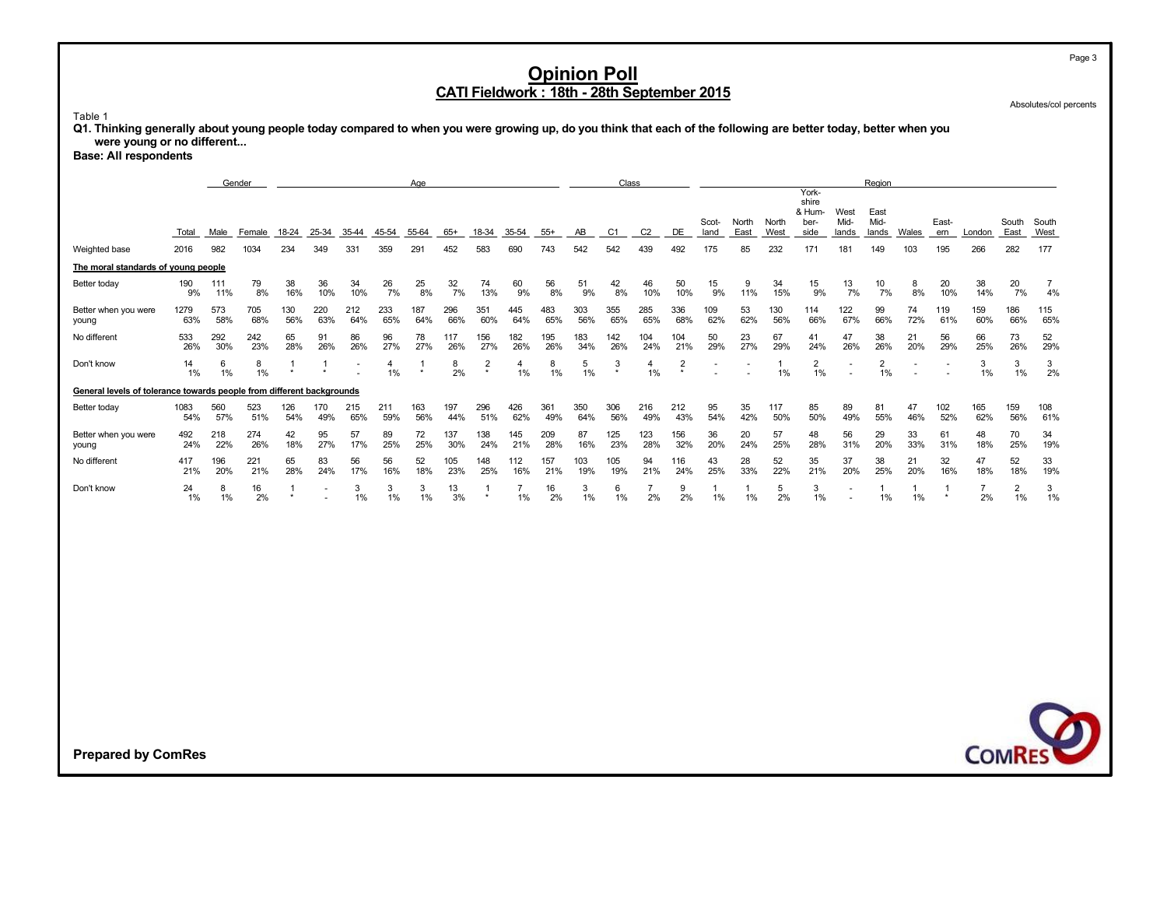Absolutes/col percents

#### Table 1

**Q1. Thinking generally about young people today compared to when you were growing up, do you think that each of the following are better today, better when you were young or no different...**

**Base: All respondents**

|                                                                       | Gender<br>Age |             |                |                           |              |              |              |               |              |                |                      |              |            |                       | Class                 |                |                    |            |                    |                                  |              | Region               |              |                |                      |                      |                      |
|-----------------------------------------------------------------------|---------------|-------------|----------------|---------------------------|--------------|--------------|--------------|---------------|--------------|----------------|----------------------|--------------|------------|-----------------------|-----------------------|----------------|--------------------|------------|--------------------|----------------------------------|--------------|----------------------|--------------|----------------|----------------------|----------------------|----------------------|
|                                                                       |               |             |                |                           |              |              |              |               |              |                |                      |              |            |                       |                       |                | Scot-              | North      | North              | York-<br>shire<br>& Hum-<br>ber- | West<br>Mid- | East<br>Mid-         |              | East-          |                      | South                | South                |
| Weighted base                                                         | Total<br>2016 | Male<br>982 | Female<br>1034 | 18-24<br>234              | 25-34<br>349 | 35-44<br>331 | 45-54<br>359 | 55-64<br>291  | $65+$<br>452 | 18-34<br>583   | 35-54<br>690         | $55+$<br>743 | AB<br>542  | C <sub>1</sub><br>542 | C <sub>2</sub><br>439 | DE<br>492      | land<br>175        | East<br>85 | West<br>232        | side<br>171                      | lands<br>181 | lands<br>149         | Wales<br>103 | ern<br>195     | London<br>266        | East<br>282          | West<br>177          |
| The moral standards of young people                                   |               |             |                |                           |              |              |              |               |              |                |                      |              |            |                       |                       |                |                    |            |                    |                                  |              |                      |              |                |                      |                      |                      |
| Better today                                                          | 190<br>9%     | 111<br>11%  | 79<br>8%       | 38<br>16%                 | 36<br>10%    | 34<br>10%    | 26<br>7%     | 25<br>8%      | 32<br>7%     | 74<br>13%      | 60<br>9%             | 56<br>8%     | 51<br>9%   | 42<br>8%              | 46<br>10%             | 50<br>10%      | 15<br>9%           | 9<br>11%   | 34<br>15%          | 15<br>9%                         | 13<br>7%     | 10<br>7%             | 8<br>8%      | 20<br>10%      | 38<br>14%            | 20<br>7%             | $\overline{7}$<br>4% |
| Better when you were<br>young                                         | 1279<br>63%   | 573<br>58%  | 705<br>68%     | 130<br>56%                | 220<br>63%   | 212<br>64%   | 233<br>65%   | 187<br>64%    | 296<br>66%   | 351<br>60%     | 445<br>64%           | 483<br>65%   | 303<br>56% | 355<br>65%            | 285<br>65%            | 336<br>68%     | 109<br>62%         | 53<br>62%  | 130<br>56%         | 114<br>66%                       | 122<br>67%   | 99<br>66%            | 74<br>72%    | 119<br>61%     | 159<br>60%           | 186<br>66%           | 115<br>65%           |
| No different                                                          | 533<br>26%    | 292<br>30%  | 242<br>23%     | 65<br>28%                 | 91<br>26%    | 86<br>26%    | 96<br>27%    | 78<br>27%     | 117<br>26%   | 156<br>27%     | 182<br>26%           | 195<br>26%   | 183<br>34% | 142<br>26%            | 104<br>24%            | 104<br>21%     | 50<br>29%          | 23<br>27%  | 67<br>29%          | 41<br>24%                        | 47<br>26%    | 38<br>26%            | 21<br>20%    | 56<br>29%      | 66<br>25%            | 73<br>26%            | 52<br>29%            |
| Don't know                                                            | 14<br>1%      | 6<br>1%     | 8<br>$1\%$     |                           |              |              | 4<br>1%      | -1<br>$\star$ | 8<br>2%      | $\overline{2}$ | 4<br>1%              | 8<br>1%      | 5<br>$1\%$ | 3                     | 4<br>1%               | $\overline{2}$ |                    |            | $\mathbf{1}$<br>1% | $\overline{2}$<br>1%             | $\sim$       | $\overline{2}$<br>1% |              |                | 3<br>$1\%$           | 3<br>1%              | 3<br>2%              |
| General levels of tolerance towards people from different backgrounds |               |             |                |                           |              |              |              |               |              |                |                      |              |            |                       |                       |                |                    |            |                    |                                  |              |                      |              |                |                      |                      |                      |
| Better today                                                          | 1083<br>54%   | 560<br>57%  | 523<br>51%     | 126<br>54%                | 170<br>49%   | 215<br>65%   | 211<br>59%   | 163<br>56%    | 197<br>44%   | 296<br>51%     | 426<br>62%           | 361<br>49%   | 350<br>64% | 306<br>56%            | 216<br>49%            | 212<br>43%     | 95<br>54%          | 35<br>42%  | 117<br>50%         | 85<br>50%                        | 89<br>49%    | 81<br>55%            | 47<br>46%    | 102<br>52%     | 165<br>62%           | 159<br>56%           | 108<br>61%           |
| Better when you were<br>young                                         | 492<br>24%    | 218<br>22%  | 274<br>26%     | 42<br>18%                 | 95<br>27%    | 57<br>17%    | 89<br>25%    | 72<br>25%     | 137<br>30%   | 138<br>24%     | 145<br>21%           | 209<br>28%   | 87<br>16%  | 125<br>23%            | 123<br>28%            | 156<br>32%     | 36<br>20%          | 20<br>24%  | 57<br>25%          | 48<br>28%                        | 56<br>31%    | 29<br>20%            | 33<br>33%    | 61<br>31%      | 48<br>18%            | 70<br>25%            | 34<br>19%            |
| No different                                                          | 417<br>21%    | 196<br>20%  | 221<br>21%     | 65<br>28%                 | 83<br>24%    | 56<br>17%    | 56<br>16%    | 52<br>18%     | 105<br>23%   | 148<br>25%     | 112<br>16%           | 157<br>21%   | 103<br>19% | 105<br>19%            | 94<br>21%             | 116<br>24%     | 43<br>25%          | 28<br>33%  | 52<br>22%          | 35<br>21%                        | 37<br>20%    | 38<br>25%            | 21<br>20%    | 32<br>16%      | 47<br>18%            | 52<br>18%            | 33<br>19%            |
| Don't know                                                            | 24<br>1%      | 8<br>1%     | 16<br>2%       | $\overline{1}$<br>$\star$ |              | 3<br>1%      | 3<br>1%      | 3<br>1%       | 13<br>3%     | -1<br>$\star$  | $\overline{7}$<br>1% | 16<br>2%     | 3<br>1%    | 6<br>1%               | $\overline{7}$<br>2%  | 9<br>2%        | $\mathbf{1}$<br>1% | 1<br>1%    | 5<br>2%            | 3<br>1%                          |              | 1<br>1%              | 1<br>1%      | $\overline{1}$ | $\overline{7}$<br>2% | $\overline{2}$<br>1% | 3<br>1%              |
|                                                                       |               |             |                |                           |              |              |              |               |              |                |                      |              |            |                       |                       |                |                    |            |                    |                                  |              |                      |              |                |                      |                      | <b>COMRES</b>        |
| <b>Prepared by ComRes</b>                                             |               |             |                |                           |              |              |              |               |              |                |                      |              |            |                       |                       |                |                    |            |                    |                                  |              |                      |              |                |                      |                      |                      |

Page 3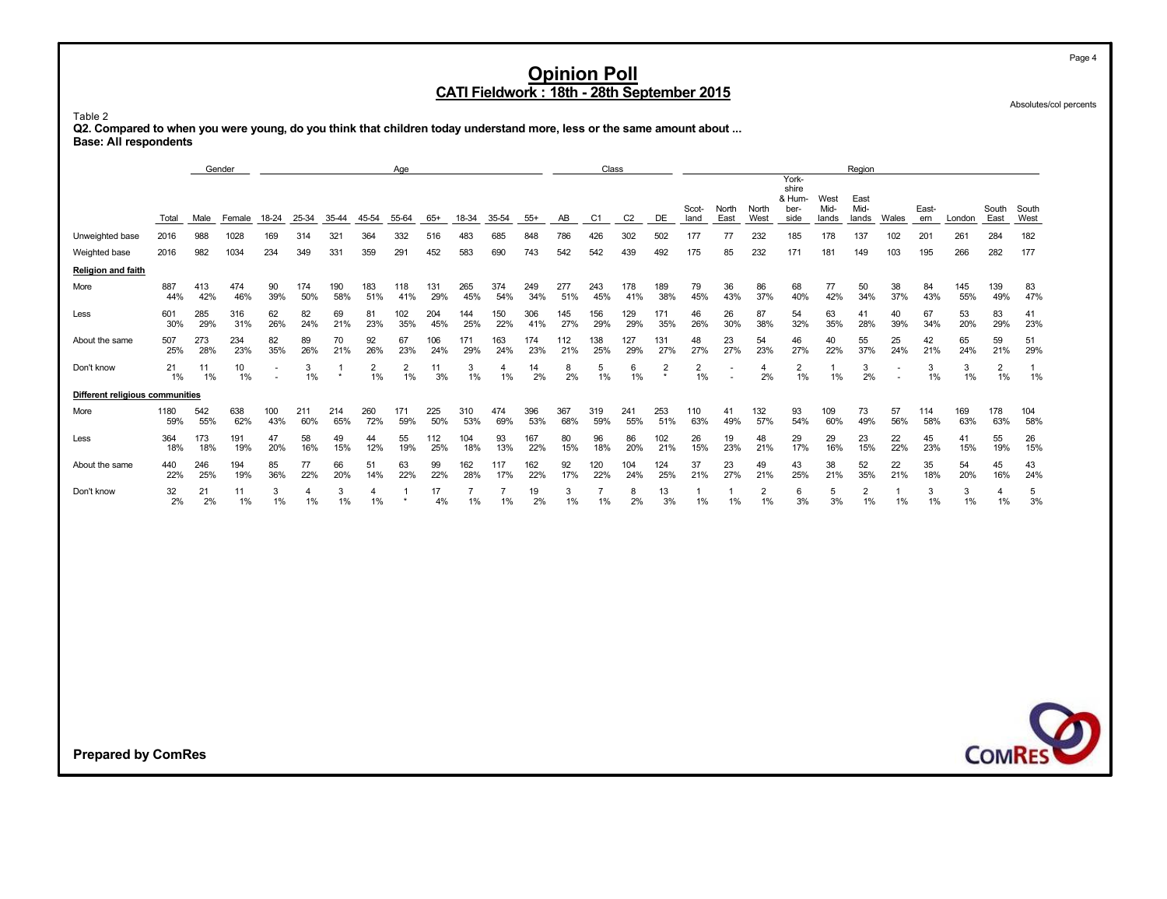Absolutes/col percents

Table 2 **Q2. Compared to when you were young, do you think that children today understand more, less or the same amount about ... Base: All respondents**

|                                 |               |             | Gender         |              |              |              |                         | Age                     |              |                      |                      |              |            | Class                |                       |                         |                      |            |                      |                                  |                    | Region               |                         |            |               |                      |                    |
|---------------------------------|---------------|-------------|----------------|--------------|--------------|--------------|-------------------------|-------------------------|--------------|----------------------|----------------------|--------------|------------|----------------------|-----------------------|-------------------------|----------------------|------------|----------------------|----------------------------------|--------------------|----------------------|-------------------------|------------|---------------|----------------------|--------------------|
|                                 |               |             |                |              |              |              |                         |                         |              |                      |                      |              |            |                      |                       |                         | Scot-                | North      | North                | York-<br>shire<br>& Hum-<br>ber- | West<br>Mid-       | East<br>Mid-         |                         | East-      |               | South                | South              |
| Unweighted base                 | Total<br>2016 | Male<br>988 | Female<br>1028 | 18-24<br>169 | 25-34<br>314 | 35-44<br>321 | 45-54<br>364            | 55-64<br>332            | $65+$<br>516 | 18-34<br>483         | 35-54<br>685         | $55+$<br>848 | AB<br>786  | C1<br>426            | C <sub>2</sub><br>302 | DE<br>502               | land<br>177          | East<br>77 | West<br>232          | side<br>185                      | lands<br>178       | lands<br>137         | Wales<br>102            | ern<br>201 | London<br>261 | East<br>284          | West<br>182        |
| Weighted base                   | 2016          | 982         | 1034           | 234          | 349          | 331          | 359                     | 291                     | 452          | 583                  | 690                  | 743          | 542        | 542                  | 439                   | 492                     | 175                  | 85         | 232                  | 171                              | 181                | 149                  | 103                     | 195        | 266           | 282                  | 177                |
| <b>Religion and faith</b>       |               |             |                |              |              |              |                         |                         |              |                      |                      |              |            |                      |                       |                         |                      |            |                      |                                  |                    |                      |                         |            |               |                      |                    |
| More                            | 887<br>44%    | 413<br>42%  | 474<br>46%     | 90<br>39%    | 174<br>50%   | 190<br>58%   | 183<br>51%              | 118<br>41%              | 131<br>29%   | 265<br>45%           | 374<br>54%           | 249<br>34%   | 277<br>51% | 243<br>45%           | 178<br>41%            | 189<br>38%              | 79<br>45%            | 36<br>43%  | 86<br>37%            | 68<br>40%                        | 77<br>42%          | 50<br>34%            | 38<br>37%               | 84<br>43%  | 145<br>55%    | 139<br>49%           | 83<br>47%          |
| Less                            | 601<br>30%    | 285<br>29%  | 316<br>31%     | 62<br>26%    | 82<br>24%    | 69<br>21%    | 81<br>23%               | 102<br>35%              | 204<br>45%   | 144<br>25%           | 150<br>22%           | 306<br>41%   | 145<br>27% | 156<br>29%           | 129<br>29%            | 171<br>35%              | 46<br>26%            | 26<br>30%  | 87<br>38%            | 54<br>32%                        | 63<br>35%          | 41<br>28%            | 40<br>39%               | 67<br>34%  | 53<br>20%     | 83<br>29%            | 41<br>23%          |
| About the same                  | 507<br>25%    | 273<br>28%  | 234<br>23%     | 82<br>35%    | 89<br>26%    | 70<br>21%    | 92<br>26%               | 67<br>23%               | 106<br>24%   | 171<br>29%           | 163<br>24%           | 174<br>23%   | 112<br>21% | 138<br>25%           | 127<br>29%            | 131<br>27%              | 48<br>27%            | 23<br>27%  | 54<br>23%            | 46<br>27%                        | 40<br>22%          | 55<br>37%            | 25<br>24%               | 42<br>21%  | 65<br>24%     | 59<br>21%            | 51<br>29%          |
| Don't know                      | 21<br>1%      | 11<br>1%    | 10<br>1%       |              | 3<br>1%      | -1           | $\overline{2}$<br>$1\%$ | $\overline{2}$<br>$1\%$ | 11<br>3%     | 3<br>1%              | 4<br>1%              | 14<br>2%     | 8<br>2%    | 5<br>1%              | 6<br>1%               | $\overline{\mathbf{c}}$ | $\overline{2}$<br>1% |            | 4<br>2%              | $\overline{2}$<br>1%             | $\mathbf{1}$<br>1% | 3<br>2%              |                         | 3<br>1%    | 3<br>1%       | $\overline{2}$<br>1% | $\mathbf{1}$<br>1% |
| Different religious communities |               |             |                |              |              |              |                         |                         |              |                      |                      |              |            |                      |                       |                         |                      |            |                      |                                  |                    |                      |                         |            |               |                      |                    |
| More                            | 1180<br>59%   | 542<br>55%  | 638<br>62%     | 100<br>43%   | 211<br>60%   | 214<br>65%   | 260<br>72%              | 171<br>59%              | 225<br>50%   | 310<br>53%           | 474<br>69%           | 396<br>53%   | 367<br>68% | 319<br>59%           | 241<br>55%            | 253<br>51%              | 110<br>63%           | 41<br>49%  | 132<br>57%           | 93<br>54%                        | 109<br>60%         | 73<br>49%            | 57<br>56%               | 114<br>58% | 169<br>63%    | 178<br>63%           | 104<br>58%         |
| Less                            | 364<br>18%    | 173<br>18%  | 191<br>19%     | 47<br>20%    | 58<br>16%    | 49<br>15%    | 44<br>12%               | 55<br>19%               | 112<br>25%   | 104<br>18%           | 93<br>13%            | 167<br>22%   | 80<br>15%  | 96<br>18%            | 86<br>20%             | 102<br>21%              | 26<br>15%            | 19<br>23%  | 48<br>21%            | 29<br>17%                        | 29<br>16%          | 23<br>15%            | 22<br>22%               | 45<br>23%  | 41<br>15%     | 55<br>19%            | 26<br>15%          |
| About the same                  | 440<br>22%    | 246<br>25%  | 194<br>19%     | 85<br>36%    | 77<br>22%    | 66<br>20%    | 51<br>14%               | 63<br>22%               | 99<br>22%    | 162<br>28%           | 117<br>17%           | 162<br>22%   | 92<br>17%  | 120<br>22%           | 104<br>24%            | 124<br>25%              | 37<br>21%            | 23<br>27%  | 49<br>21%            | 43<br>25%                        | 38<br>21%          | 52<br>35%            | 22<br>21%               | 35<br>18%  | 54<br>20%     | 45<br>16%            | 43<br>24%          |
| Don't know                      | 32<br>2%      | 21<br>2%    | 11<br>1%       | 3<br>1%      | 4<br>1%      | 3<br>1%      | 4<br>1%                 | $\mathbf{1}$            | 17<br>4%     | $\overline{7}$<br>1% | $\overline{7}$<br>1% | 19<br>2%     | 3<br>1%    | $\overline{7}$<br>1% | 8<br>2%               | 13<br>3%                | 1<br>1%              | 1<br>1%    | $\overline{2}$<br>1% | 6<br>3%                          | 5<br>3%            | $\overline{2}$<br>1% | $\overline{1}$<br>$1\%$ | 3<br>1%    | 3<br>1%       | 4<br>1%              | 5<br>3%            |
|                                 |               |             |                |              |              |              |                         |                         |              |                      |                      |              |            |                      |                       |                         |                      |            |                      |                                  |                    |                      |                         |            |               |                      |                    |
| <b>Prepared by ComRes</b>       |               |             |                |              |              |              |                         |                         |              |                      |                      |              |            |                      |                       |                         |                      |            |                      |                                  |                    |                      |                         |            |               |                      | <b>COMRES</b>      |

Page 4

D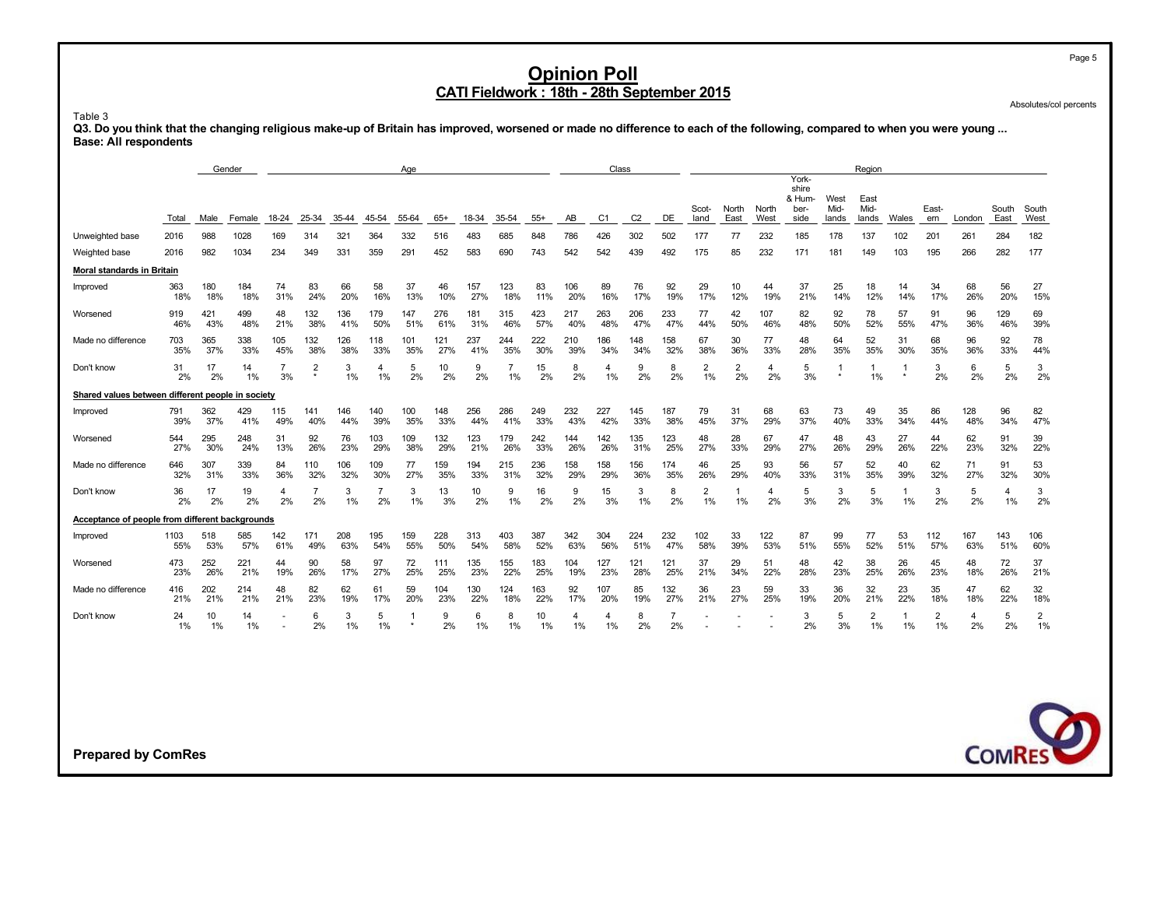Absolutes/col percents

Table 3

Q3. Do you think that the changing religious make-up of Britain has improved, worsened or made no difference to each of the following, compared to when you were young ... **Base: All respondents**

|                                                   |             |            | Gender     |                      |            |            |                      | Age        |            |            |            |            |            | Class          |                |            |                      |                      |                      |                                  |              | Region               |           |                      |            |            |                      |
|---------------------------------------------------|-------------|------------|------------|----------------------|------------|------------|----------------------|------------|------------|------------|------------|------------|------------|----------------|----------------|------------|----------------------|----------------------|----------------------|----------------------------------|--------------|----------------------|-----------|----------------------|------------|------------|----------------------|
|                                                   |             |            |            |                      |            |            |                      |            |            |            |            |            |            |                |                |            | Scot-                | North                | North                | York-<br>shire<br>& Hum-<br>ber- | West<br>Mid- | East<br>Mid-         |           | East-                |            | South      | South                |
|                                                   | Total       | Male       | Female     | 18-24                | 25-34      | 35-44      | 45-54                | 55-64      | $65+$      | 18-34      | 35-54      | $55+$      | AB         | C <sub>1</sub> | C <sub>2</sub> | DE         | land                 | East                 | West                 | side                             | lands        | lands                | Wales     | ern                  | London     | East       | West                 |
| Unweighted base                                   | 2016        | 988        | 1028       | 169                  | 314        | 321        | 364                  | 332        | 516        | 483        | 685        | 848        | 786        | 426            | 302            | 502        | 177                  | 77                   | 232                  | 185                              | 178          | 137                  | 102       | 201                  | 261        | 284        | 182                  |
| Weighted base                                     | 2016        | 982        | 1034       | 234                  | 349        | 331        | 359                  | 291        | 452        | 583        | 690        | 743        | 542        | 542            | 439            | 492        | 175                  | 85                   | 232                  | 171                              | 181          | 149                  | 103       | 195                  | 266        | 282        | 177                  |
| Moral standards in Britain                        |             |            |            |                      |            |            |                      |            |            |            |            |            |            |                |                |            |                      |                      |                      |                                  |              |                      |           |                      |            |            |                      |
| Improved                                          | 363<br>18%  | 180<br>18% | 184<br>18% | 74<br>31%            | 83<br>24%  | 66<br>20%  | 58<br>16%            | 37<br>13%  | 46<br>10%  | 157<br>27% | 123<br>18% | 83<br>11%  | 106<br>20% | 89<br>16%      | 76<br>17%      | 92<br>19%  | 29<br>17%            | 10<br>12%            | 44<br>19%            | 37<br>21%                        | 25<br>14%    | 18<br>12%            | 14<br>14% | 34<br>17%            | 68<br>26%  | 56<br>20%  | 27<br>15%            |
| Worsened                                          | 919<br>46%  | 421<br>43% | 499<br>48% | 48<br>21%            | 132<br>38% | 136<br>41% | 179<br>50%           | 147<br>51% | 276<br>61% | 181<br>31% | 315<br>46% | 423<br>57% | 217<br>40% | 263<br>48%     | 206<br>47%     | 233<br>47% | 77<br>44%            | 42<br>50%            | 107<br>46%           | 82<br>48%                        | 92<br>50%    | 78<br>52%            | 57<br>55% | 91<br>47%            | 96<br>36%  | 129<br>46% | 69<br>39%            |
| Made no difference                                | 703<br>35%  | 365<br>37% | 338<br>33% | 105<br>45%           | 132<br>38% | 126<br>38% | 118<br>33%           | 101<br>35% | 121<br>27% | 237<br>41% | 244<br>35% | 222<br>30% | 210<br>39% | 186<br>34%     | 148<br>34%     | 158<br>32% | 67<br>38%            | 30<br>36%            | 77<br>33%            | 48<br>28%                        | 64<br>35%    | 52<br>35%            | 31<br>30% | 68<br>35%            | 96<br>36%  | 92<br>33%  | 78<br>44%            |
| Don't know                                        | 31<br>2%    | 17<br>2%   | 14<br>1%   | $\overline{7}$<br>3% | 2          | 3<br>1%    | 4<br>1%              | 5<br>2%    | 10<br>2%   | 9<br>2%    | 7<br>1%    | 15<br>2%   | 8<br>2%    | 4<br>1%        | 9<br>2%        | 8<br>2%    | $\overline{2}$<br>1% | $\overline{2}$<br>2% | $\overline{4}$<br>2% | 5<br>3%                          | -1           | 1%                   | 1         | 3<br>2%              | 6<br>2%    | 5<br>2%    | 3<br>2%              |
| Shared values between different people in society |             |            |            |                      |            |            |                      |            |            |            |            |            |            |                |                |            |                      |                      |                      |                                  |              |                      |           |                      |            |            |                      |
| Improved                                          | 791<br>39%  | 362<br>37% | 429<br>41% | 115<br>49%           | 141<br>40% | 146<br>44% | 140<br>39%           | 100<br>35% | 148<br>33% | 256<br>44% | 286<br>41% | 249<br>33% | 232<br>43% | 227<br>42%     | 145<br>33%     | 187<br>38% | 79<br>45%            | 31<br>37%            | 68<br>29%            | 63<br>37%                        | 73<br>40%    | 49<br>33%            | 35<br>34% | 86<br>44%            | 128<br>48% | 96<br>34%  | 82<br>47%            |
| Worsened                                          | 544<br>27%  | 295<br>30% | 248<br>24% | 31<br>13%            | 92<br>26%  | 76<br>23%  | 103<br>29%           | 109<br>38% | 132<br>29% | 123<br>21% | 179<br>26% | 242<br>33% | 144<br>26% | 142<br>26%     | 135<br>31%     | 123<br>25% | 48<br>27%            | 28<br>33%            | 67<br>29%            | 47<br>27%                        | 48<br>26%    | 43<br>29%            | 27<br>26% | 44<br>22%            | 62<br>23%  | 91<br>32%  | 39<br>22%            |
| Made no difference                                | 646<br>32%  | 307<br>31% | 339<br>33% | 84<br>36%            | 110<br>32% | 106<br>32% | 109<br>30%           | 77<br>27%  | 159<br>35% | 194<br>33% | 215<br>31% | 236<br>32% | 158<br>29% | 158<br>29%     | 156<br>36%     | 174<br>35% | 46<br>26%            | 25<br>29%            | 93<br>40%            | 56<br>33%                        | 57<br>31%    | 52<br>35%            | 40<br>39% | 62<br>32%            | 71<br>27%  | 91<br>32%  | 53<br>30%            |
| Don't know                                        | 36<br>2%    | 17<br>2%   | 19<br>2%   | 4<br>2%              | 7<br>2%    | 3<br>1%    | $\overline{7}$<br>2% | 3<br>1%    | 13<br>3%   | 10<br>2%   | 9<br>1%    | 16<br>2%   | 9<br>2%    | 15<br>3%       | 3<br>1%        | 8<br>2%    | $\overline{2}$<br>1% | 1<br>1%              | $\overline{4}$<br>2% | 5<br>3%                          | 3<br>2%      | 5<br>3%              | 1<br>1%   | 3<br>2%              | 5<br>2%    | 4<br>1%    | 3<br>2%              |
| Acceptance of people from different backgrounds   |             |            |            |                      |            |            |                      |            |            |            |            |            |            |                |                |            |                      |                      |                      |                                  |              |                      |           |                      |            |            |                      |
| Improved                                          | 1103<br>55% | 518<br>53% | 585<br>57% | 142<br>61%           | 171<br>49% | 208<br>63% | 195<br>54%           | 159<br>55% | 228<br>50% | 313<br>54% | 403<br>58% | 387<br>52% | 342<br>63% | 304<br>56%     | 224<br>51%     | 232<br>47% | 102<br>58%           | 33<br>39%            | 122<br>53%           | 87<br>51%                        | 99<br>55%    | 77<br>52%            | 53<br>51% | 112<br>57%           | 167<br>63% | 143<br>51% | 106<br>60%           |
| Worsened                                          | 473<br>23%  | 252<br>26% | 221<br>21% | 44<br>19%            | 90<br>26%  | 58<br>17%  | 97<br>27%            | 72<br>25%  | 111<br>25% | 135<br>23% | 155<br>22% | 183<br>25% | 104<br>19% | 127<br>23%     | 121<br>28%     | 121<br>25% | 37<br>21%            | 29<br>34%            | 51<br>22%            | 48<br>28%                        | 42<br>23%    | 38<br>25%            | 26<br>26% | 45<br>23%            | 48<br>18%  | 72<br>26%  | 37<br>21%            |
| Made no difference                                | 416<br>21%  | 202<br>21% | 214<br>21% | 48<br>21%            | 82<br>23%  | 62<br>19%  | 61<br>17%            | 59<br>20%  | 104<br>23% | 130<br>22% | 124<br>18% | 163<br>22% | 92<br>17%  | 107<br>20%     | 85<br>19%      | 132<br>27% | 36<br>21%            | 23<br>27%            | 59<br>25%            | 33<br>19%                        | 36<br>20%    | 32<br>21%            | 23<br>22% | 35<br>18%            | 47<br>18%  | 62<br>22%  | 32<br>18%            |
| Don't know                                        | 24<br>1%    | 10<br>1%   | 14<br>1%   |                      | 6<br>2%    | 3<br>1%    | 5<br>1%              | -1         | 9<br>2%    | 6<br>1%    | 8<br>1%    | 10<br>1%   | 4<br>1%    | 4<br>1%        | 8<br>2%        | 2%         |                      |                      |                      | 3<br>2%                          | 5<br>3%      | $\overline{2}$<br>1% | 1<br>1%   | $\overline{2}$<br>1% | 4<br>2%    | 5<br>2%    | $\overline{2}$<br>1% |
|                                                   |             |            |            |                      |            |            |                      |            |            |            |            |            |            |                |                |            |                      |                      |                      |                                  |              |                      |           |                      |            |            |                      |
|                                                   |             |            |            |                      |            |            |                      |            |            |            |            |            |            |                |                |            |                      |                      |                      |                                  |              |                      |           |                      |            |            |                      |
|                                                   |             |            |            |                      |            |            |                      |            |            |            |            |            |            |                |                |            |                      |                      |                      |                                  |              |                      |           |                      |            |            |                      |
|                                                   |             |            |            |                      |            |            |                      |            |            |            |            |            |            |                |                |            |                      |                      |                      |                                  |              |                      |           |                      |            |            | C                    |
| <b>Prepared by ComRes</b>                         |             |            |            |                      |            |            |                      |            |            |            |            |            |            |                |                |            |                      |                      |                      |                                  |              |                      |           |                      |            |            | <b>COMRES</b>        |

Page 5